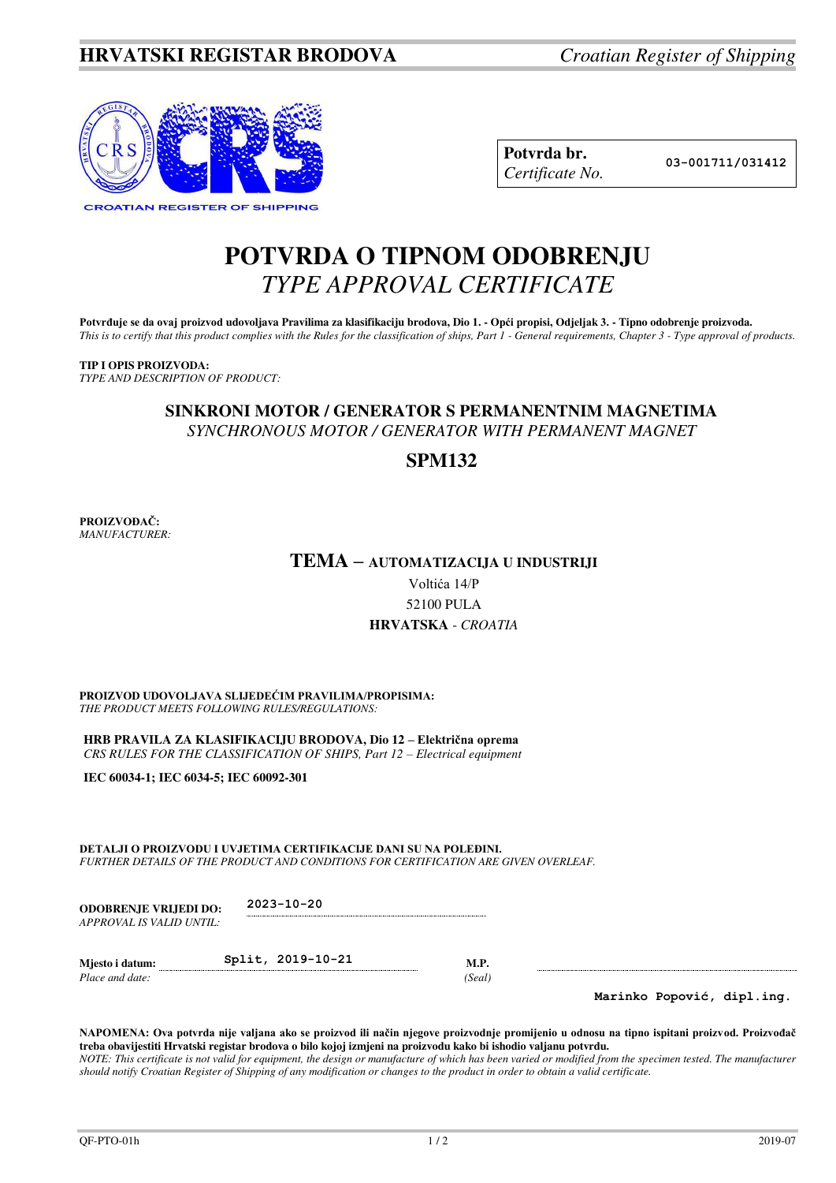

| Potvrda br.     |
|-----------------|
| Certificate No. |

**Potvrda br. 03-001711/031412**

# **POTVRDA O TIPNOM ODOBRENJU**  *TYPE APPROVAL CERTIFICATE*

Potvrđuje se da ovaj proizvod udovoljava Pravilima za klasifikaciju brodova, Dio 1. - Opći propisi, Odjeljak 3. - Tipno odobrenje proizvoda. *This is to certify that this product complies with the Rules for the classification of ships, Part 1 - General requirements, Chapter 3 - Type approval of products.* 

## **TIP I OPIS PROIZVODA:**

*TYPE AND DESCRIPTION OF PRODUCT:* 

## **SINKRONI MOTOR / GENERATOR S PERMANENTNIM MAGNETIMA** *SYNCHRONOUS MOTOR / GENERATOR WITH PERMANENT MAGNET*

## **SPM132**

**PROIZVOĐAČ:** *MANUFACTURER:*

## **TEMA – AUTOMATIZACIJA U INDUSTRIJI**

Voltića 14/P 52100 PULA **HRVATSKA** - *CROATIA*

#### **PROIZVOD UDOVOLJAVA SLIJEDEĆIM PRAVILIMA/PROPISIMA:** *THE PRODUCT MEETS FOLLOWING RULES/REGULATIONS:*

**HRB PRAVILA ZA KLASIFIKACIJU BRODOVA, Dio 12 – Električna oprema** *CRS RULES FOR THE CLASSIFICATION OF SHIPS, Part 12 – Electrical equipment* 

**IEC 60034-1; IEC 6034-5; IEC 60092-301** 

**DETALJI O PROIZVODU I UVJETIMA CERTIFIKACIJE DANI SU NA POLEĐINI.** *FURTHER DETAILS OF THE PRODUCT AND CONDITIONS FOR CERTIFICATION ARE GIVEN OVERLEAF.* 

| <b>ODOBRENJE VRLIEDI DO:</b> | $2023 - 10 - 20$ |
|------------------------------|------------------|
| APPROVAL IS VALID UNTIL:     |                  |

| Miesto i datum: | Split, 2019-10-21 |        |
|-----------------|-------------------|--------|
| Place and date: |                   | (Seal) |

**Marinko Popović, dipl.ing.**

**NAPOMENA: Ova potvrda nije valjana ako se proizvod ili način njegove proizvodnje promijenio u odnosu na tipno ispitani proizvod. Proizvođač treba obavijestiti Hrvatski registar brodova o bilo kojoj izmjeni na proizvodu kako bi ishodio valjanu potvrdu.**  *NOTE: This certificate is not valid for equipment, the design or manufacture of which has been varied or modified from the specimen tested. The manufacturer should notify Croatian Register of Shipping of any modification or changes to the product in order to obtain a valid certificate.*